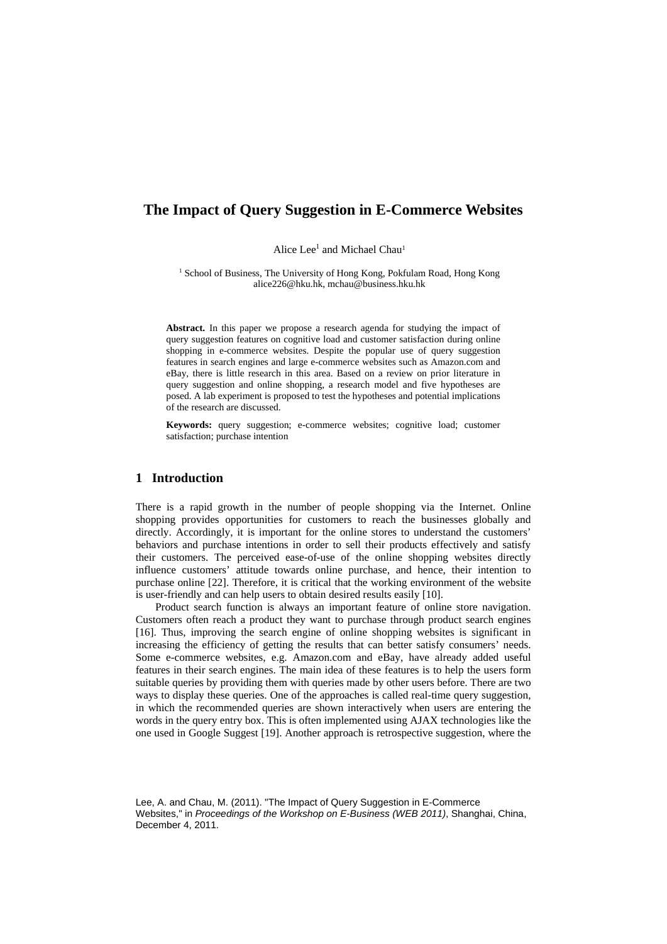# **The Impact of Query Suggestion in E-Commerce Websites**

Alice Lee<sup>1</sup> and Michael Chau<sup>1</sup>

<sup>1</sup> School of Business, The University of Hong Kong, Pokfulam Road, Hong Kong alice226@hku.hk, mchau@business.hku.hk

**Abstract.** In this paper we propose a research agenda for studying the impact of query suggestion features on cognitive load and customer satisfaction during online shopping in e-commerce websites. Despite the popular use of query suggestion features in search engines and large e-commerce websites such as Amazon.com and eBay, there is little research in this area. Based on a review on prior literature in query suggestion and online shopping, a research model and five hypotheses are posed. A lab experiment is proposed to test the hypotheses and potential implications of the research are discussed.

**Keywords:** query suggestion; e-commerce websites; cognitive load; customer satisfaction; purchase intention

## **1 Introduction**

There is a rapid growth in the number of people shopping via the Internet. Online shopping provides opportunities for customers to reach the businesses globally and directly. Accordingly, it is important for the online stores to understand the customers' behaviors and purchase intentions in order to sell their products effectively and satisfy their customers. The perceived ease-of-use of the online shopping websites directly influence customers' attitude towards online purchase, and hence, their intention to purchase online [22]. Therefore, it is critical that the working environment of the website is user-friendly and can help users to obtain desired results easily [10].

Product search function is always an important feature of online store navigation. Customers often reach a product they want to purchase through product search engines [16]. Thus, improving the search engine of online shopping websites is significant in increasing the efficiency of getting the results that can better satisfy consumers' needs. Some e-commerce websites, e.g. Amazon.com and eBay, have already added useful features in their search engines. The main idea of these features is to help the users form suitable queries by providing them with queries made by other users before. There are two ways to display these queries. One of the approaches is called real-time query suggestion, in which the recommended queries are shown interactively when users are entering the words in the query entry box. This is often implemented using AJAX technologies like the one used in Google Suggest [19]. Another approach is retrospective suggestion, where the

Lee, A. and Chau, M. (2011). "The Impact of Query Suggestion in E-Commerce Websites," in *Proceedings of the Workshop on E-Business (WEB 2011)*, Shanghai, China, December 4, 2011.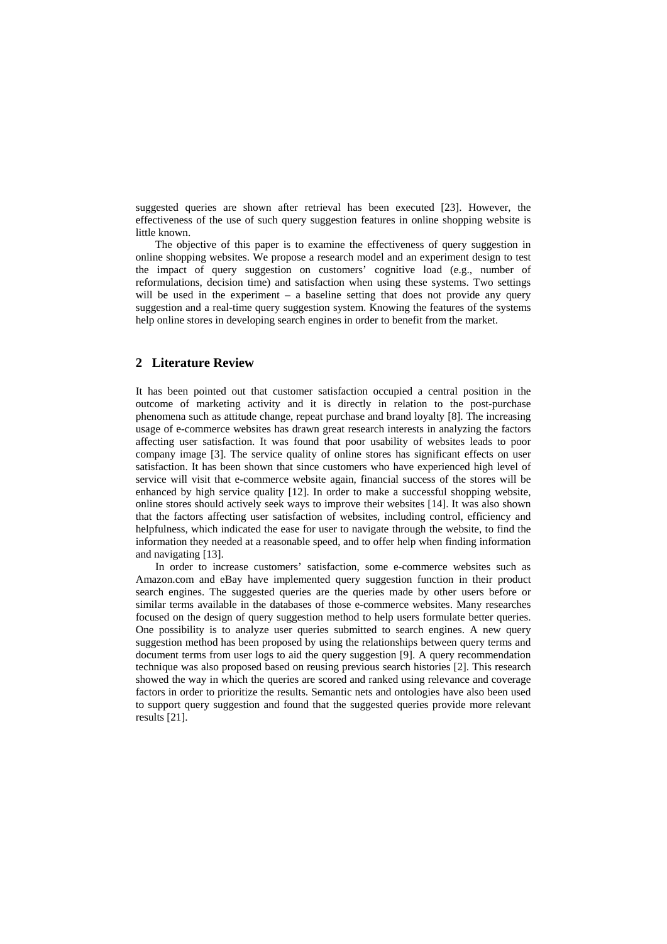suggested queries are shown after retrieval has been executed [23]. However, the effectiveness of the use of such query suggestion features in online shopping website is little known.

The objective of this paper is to examine the effectiveness of query suggestion in online shopping websites. We propose a research model and an experiment design to test the impact of query suggestion on customers' cognitive load (e.g., number of reformulations, decision time) and satisfaction when using these systems. Two settings will be used in the experiment – a baseline setting that does not provide any query suggestion and a real-time query suggestion system. Knowing the features of the systems help online stores in developing search engines in order to benefit from the market.

# **2 Literature Review**

It has been pointed out that customer satisfaction occupied a central position in the outcome of marketing activity and it is directly in relation to the post-purchase phenomena such as attitude change, repeat purchase and brand loyalty [8]. The increasing usage of e-commerce websites has drawn great research interests in analyzing the factors affecting user satisfaction. It was found that poor usability of websites leads to poor company image [3]. The service quality of online stores has significant effects on user satisfaction. It has been shown that since customers who have experienced high level of service will visit that e-commerce website again, financial success of the stores will be enhanced by high service quality [12]. In order to make a successful shopping website, online stores should actively seek ways to improve their websites [14]. It was also shown that the factors affecting user satisfaction of websites, including control, efficiency and helpfulness, which indicated the ease for user to navigate through the website, to find the information they needed at a reasonable speed, and to offer help when finding information and navigating [13].

In order to increase customers' satisfaction, some e-commerce websites such as Amazon.com and eBay have implemented query suggestion function in their product search engines. The suggested queries are the queries made by other users before or similar terms available in the databases of those e-commerce websites. Many researches focused on the design of query suggestion method to help users formulate better queries. One possibility is to analyze user queries submitted to search engines. A new query suggestion method has been proposed by using the relationships between query terms and document terms from user logs to aid the query suggestion [9]. A query recommendation technique was also proposed based on reusing previous search histories [2]. This research showed the way in which the queries are scored and ranked using relevance and coverage factors in order to prioritize the results. Semantic nets and ontologies have also been used to support query suggestion and found that the suggested queries provide more relevant results [21].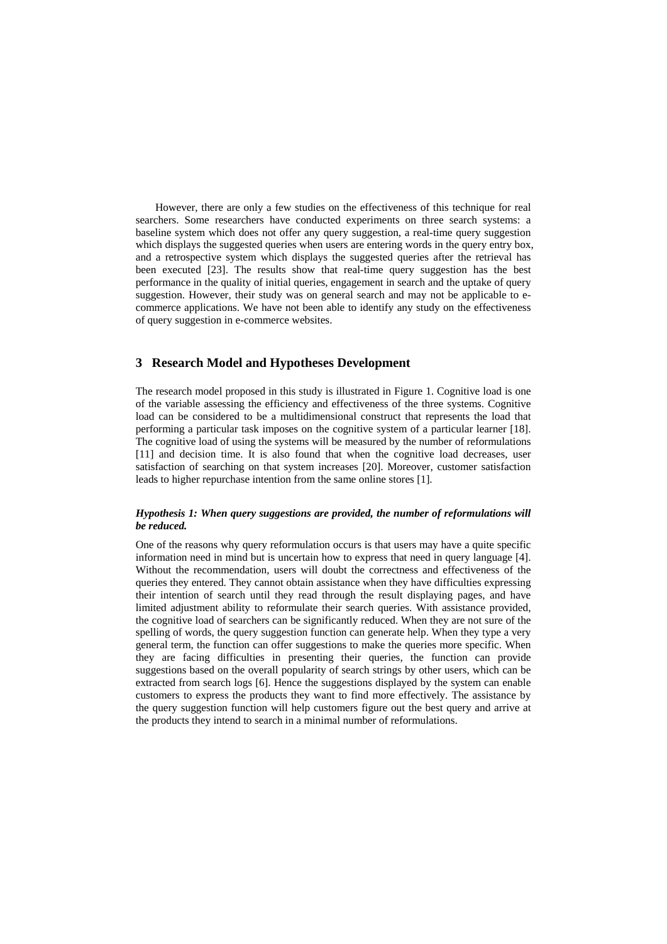However, there are only a few studies on the effectiveness of this technique for real searchers. Some researchers have conducted experiments on three search systems: a baseline system which does not offer any query suggestion, a real-time query suggestion which displays the suggested queries when users are entering words in the query entry box, and a retrospective system which displays the suggested queries after the retrieval has been executed [23]. The results show that real-time query suggestion has the best performance in the quality of initial queries, engagement in search and the uptake of query suggestion. However, their study was on general search and may not be applicable to ecommerce applications. We have not been able to identify any study on the effectiveness of query suggestion in e-commerce websites.

## **3 Research Model and Hypotheses Development**

The research model proposed in this study is illustrated in Figure 1. Cognitive load is one of the variable assessing the efficiency and effectiveness of the three systems. Cognitive load can be considered to be a multidimensional construct that represents the load that performing a particular task imposes on the cognitive system of a particular learner [18]. The cognitive load of using the systems will be measured by the number of reformulations [11] and decision time. It is also found that when the cognitive load decreases, user satisfaction of searching on that system increases [20]. Moreover, customer satisfaction leads to higher repurchase intention from the same online stores [1].

#### *Hypothesis 1: When query suggestions are provided, the number of reformulations will be reduced.*

One of the reasons why query reformulation occurs is that users may have a quite specific information need in mind but is uncertain how to express that need in query language [4]. Without the recommendation, users will doubt the correctness and effectiveness of the queries they entered. They cannot obtain assistance when they have difficulties expressing their intention of search until they read through the result displaying pages, and have limited adjustment ability to reformulate their search queries. With assistance provided, the cognitive load of searchers can be significantly reduced. When they are not sure of the spelling of words, the query suggestion function can generate help. When they type a very general term, the function can offer suggestions to make the queries more specific. When they are facing difficulties in presenting their queries, the function can provide suggestions based on the overall popularity of search strings by other users, which can be extracted from search logs [6]. Hence the suggestions displayed by the system can enable customers to express the products they want to find more effectively. The assistance by the query suggestion function will help customers figure out the best query and arrive at the products they intend to search in a minimal number of reformulations.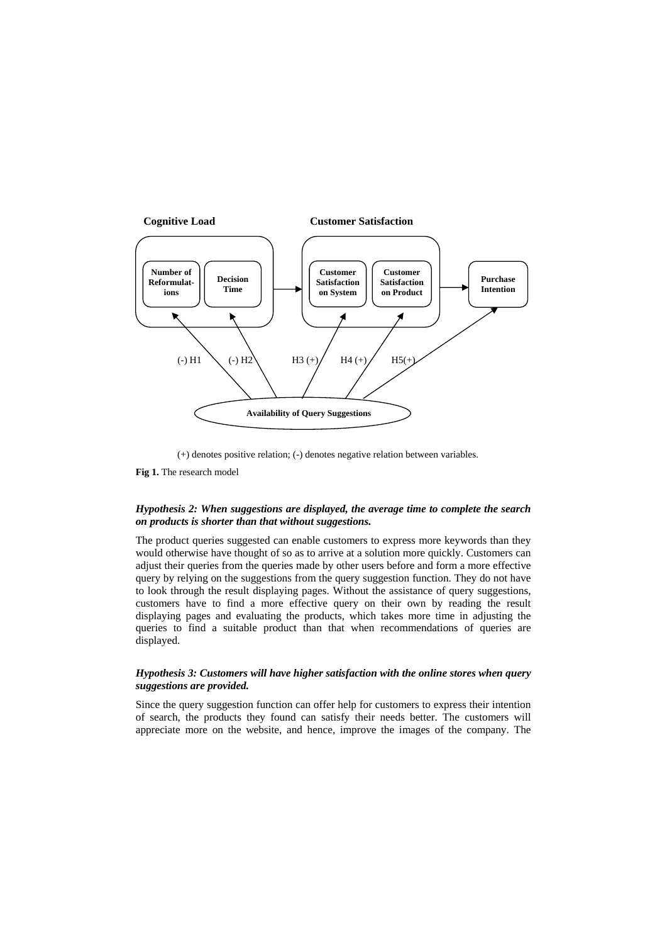



**Fig 1.** The research model

#### *Hypothesis 2: When suggestions are displayed, the average time to complete the search on products is shorter than that without suggestions.*

The product queries suggested can enable customers to express more keywords than they would otherwise have thought of so as to arrive at a solution more quickly. Customers can adjust their queries from the queries made by other users before and form a more effective query by relying on the suggestions from the query suggestion function. They do not have to look through the result displaying pages. Without the assistance of query suggestions, customers have to find a more effective query on their own by reading the result displaying pages and evaluating the products, which takes more time in adjusting the queries to find a suitable product than that when recommendations of queries are displayed.

#### *Hypothesis 3: Customers will have higher satisfaction with the online stores when query suggestions are provided.*

Since the query suggestion function can offer help for customers to express their intention of search, the products they found can satisfy their needs better. The customers will appreciate more on the website, and hence, improve the images of the company. The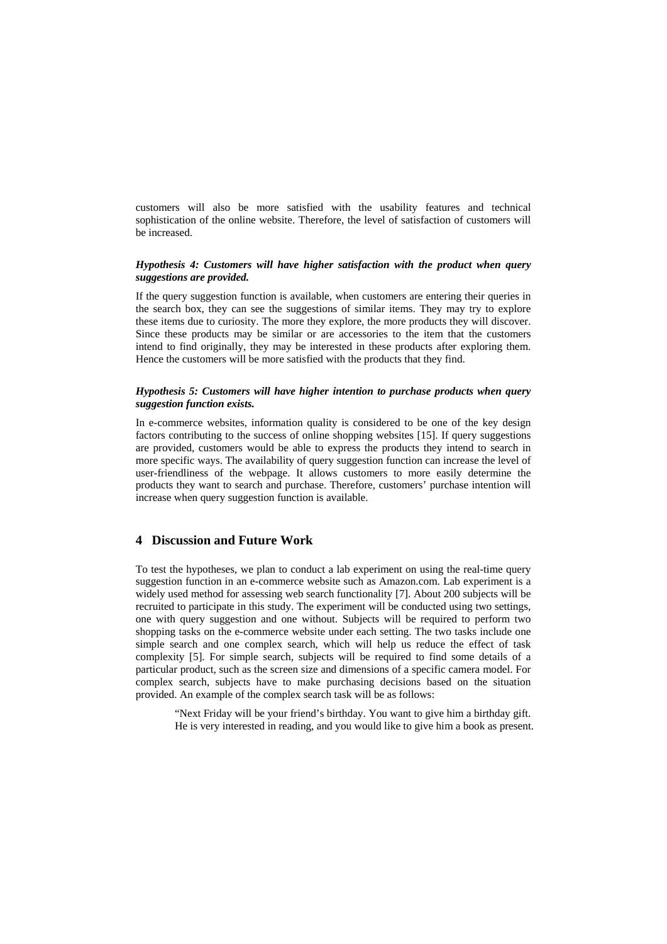customers will also be more satisfied with the usability features and technical sophistication of the online website. Therefore, the level of satisfaction of customers will be increased.

#### *Hypothesis 4: Customers will have higher satisfaction with the product when query suggestions are provided.*

If the query suggestion function is available, when customers are entering their queries in the search box, they can see the suggestions of similar items. They may try to explore these items due to curiosity. The more they explore, the more products they will discover. Since these products may be similar or are accessories to the item that the customers intend to find originally, they may be interested in these products after exploring them. Hence the customers will be more satisfied with the products that they find.

### *Hypothesis 5: Customers will have higher intention to purchase products when query suggestion function exists.*

In e-commerce websites, information quality is considered to be one of the key design factors contributing to the success of online shopping websites [15]. If query suggestions are provided, customers would be able to express the products they intend to search in more specific ways. The availability of query suggestion function can increase the level of user-friendliness of the webpage. It allows customers to more easily determine the products they want to search and purchase. Therefore, customers' purchase intention will increase when query suggestion function is available.

# **4 Discussion and Future Work**

To test the hypotheses, we plan to conduct a lab experiment on using the real-time query suggestion function in an e-commerce website such as Amazon.com. Lab experiment is a widely used method for assessing web search functionality [7]. About 200 subjects will be recruited to participate in this study. The experiment will be conducted using two settings, one with query suggestion and one without. Subjects will be required to perform two shopping tasks on the e-commerce website under each setting. The two tasks include one simple search and one complex search, which will help us reduce the effect of task complexity [5]. For simple search, subjects will be required to find some details of a particular product, such as the screen size and dimensions of a specific camera model. For complex search, subjects have to make purchasing decisions based on the situation provided. An example of the complex search task will be as follows:

"Next Friday will be your friend's birthday. You want to give him a birthday gift. He is very interested in reading, and you would like to give him a book as present.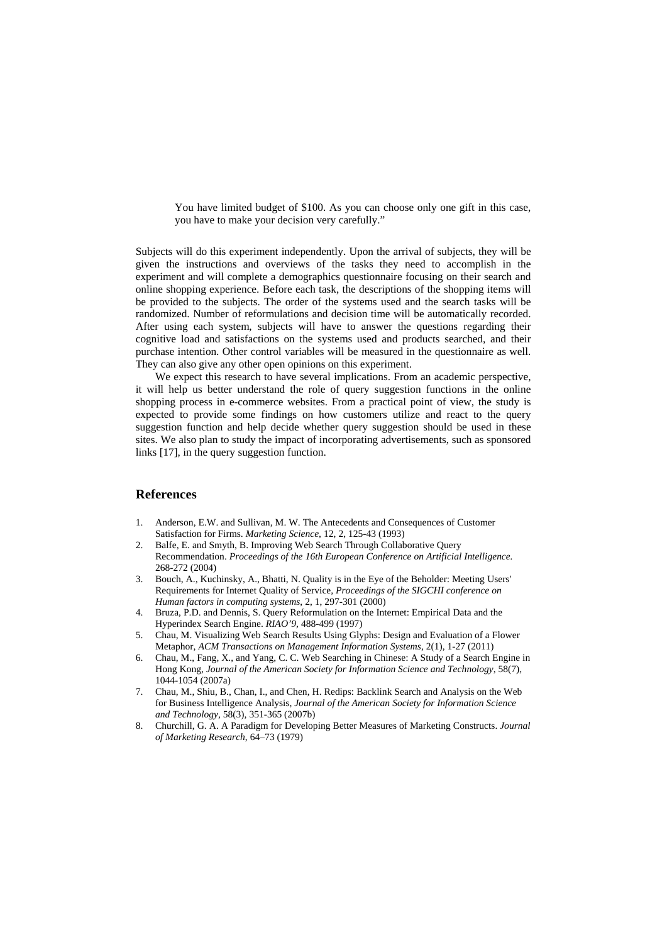You have limited budget of \$100. As you can choose only one gift in this case, you have to make your decision very carefully."

Subjects will do this experiment independently. Upon the arrival of subjects, they will be given the instructions and overviews of the tasks they need to accomplish in the experiment and will complete a demographics questionnaire focusing on their search and online shopping experience. Before each task, the descriptions of the shopping items will be provided to the subjects. The order of the systems used and the search tasks will be randomized. Number of reformulations and decision time will be automatically recorded. After using each system, subjects will have to answer the questions regarding their cognitive load and satisfactions on the systems used and products searched, and their purchase intention. Other control variables will be measured in the questionnaire as well. They can also give any other open opinions on this experiment.

We expect this research to have several implications. From an academic perspective, it will help us better understand the role of query suggestion functions in the online shopping process in e-commerce websites. From a practical point of view, the study is expected to provide some findings on how customers utilize and react to the query suggestion function and help decide whether query suggestion should be used in these sites. We also plan to study the impact of incorporating advertisements, such as sponsored links [17], in the query suggestion function.

#### **References**

- 1. Anderson, E.W. and Sullivan, M. W. The Antecedents and Consequences of Customer Satisfaction for Firms. *Marketing Science,* 12, 2, 125-43 (1993)
- 2. Balfe, E. and Smyth, B. Improving Web Search Through Collaborative Query Recommendation. *Proceedings of the 16th European Conference on Artificial Intelligence.* 268-272 (2004)
- 3. Bouch, A., Kuchinsky, A., Bhatti, N. Quality is in the Eye of the Beholder: Meeting Users' Requirements for Internet Quality of Service, *Proceedings of the SIGCHI conference on Human factors in computing systems*, 2, 1, 297-301 (2000)
- 4. Bruza, P.D. and Dennis, S. Query Reformulation on the Internet: Empirical Data and the Hyperindex Search Engine. *RIAO'9,* 488-499 (1997)
- 5. Chau, M. Visualizing Web Search Results Using Glyphs: Design and Evaluation of a Flower Metaphor, *ACM Transactions on Management Information Systems*, 2(1), 1-27 (2011)
- 6. Chau, M., Fang, X., and Yang, C. C. Web Searching in Chinese: A Study of a Search Engine in Hong Kong, *Journal of the American Society for Information Science and Technology*, 58(7), 1044-1054 (2007a)
- 7. Chau, M., Shiu, B., Chan, I., and Chen, H. Redips: Backlink Search and Analysis on the Web for Business Intelligence Analysis, *Journal of the American Society for Information Science and Technology*, 58(3), 351-365 (2007b)
- 8. Churchill, G. A. A Paradigm for Developing Better Measures of Marketing Constructs. *Journal of Marketing Research*, 64–73 (1979)